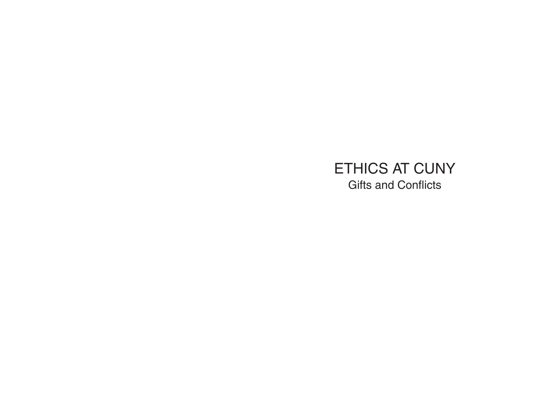# ETHICS AT CUNY Gifts and Conflicts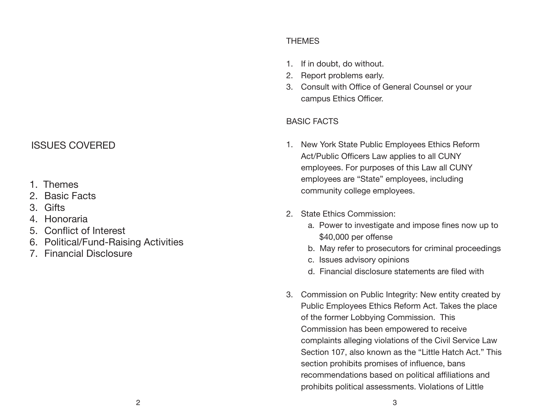## ISSUES COVERED

- 1. Themes
- 2. Basic Facts
- 3. Gifts
- 4. Honoraria
- 5. Conflict of Interest
- 6. Political/Fund-Raising Activities
- 7. Financial Disclosure

## THEMES

- 1. If in doubt, do without.
- 2. Report problems early.
- 3. Consult with Office of General Counsel or your campus Ethics Officer.

## BASIC FACTS

- 1. New York State Public Employees Ethics Reform Act/Public Officers Law applies to all CUNY employees. For purposes of this Law all CUNY employees are "State" employees, including community college employees.
- 2. State Ethics Commission:
	- a. Power to investigate and impose fines now up to \$40,000 per offense
	- b. May refer to prosecutors for criminal proceedings
	- c. Issues advisory opinions
	- d. Financial disclosure statements are filed with
- 3. Commission on Public Integrity: New entity created by Public Employees Ethics Reform Act. Takes the place of the former Lobbying Commission. This Commission has been empowered to receive complaints alleging violations of the Civil Service Law Section 107, also known as the "Little Hatch Act." This section prohibits promises of influence, bans recommendations based on political affiliations and prohibits political assessments. Violations of Little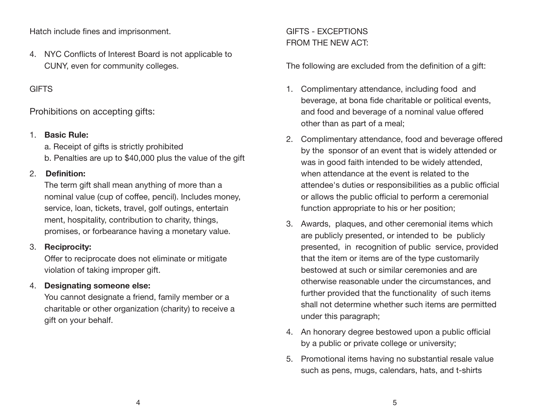Hatch include fines and imprisonment.

4. NYC Conflicts of Interest Board is not applicable to CUNY, even for community colleges.

## **GIFTS**

Prohibitions on accepting gifts:

#### 1. **Basic Rule:**

a. Receipt of gifts is strictly prohibited

b. Penalties are up to \$40,000 plus the value of the gift

#### 2. **Definition:**

The term gift shall mean anything of more than a nominal value (cup of coffee, pencil). Includes money, service, loan, tickets, travel, golf outings, entertain ment, hospitality, contribution to charity, things, promises, or forbearance having a monetary value.

## 3. **Reciprocity:**

Offer to reciprocate does not eliminate or mitigate violation of taking improper gift.

## 4. **Designating someone else:**

You cannot designate a friend, family member or a charitable or other organization (charity) to receive a gift on your behalf.

# GIFTS - EXCEPTIONS FROM THE NEW ACT:

The following are excluded from the definition of a gift:

- 1. Complimentary attendance, including food and beverage, at bona fide charitable or political events, and food and beverage of a nominal value offered other than as part of a meal;
- 2. Complimentary attendance, food and beverage offered by the sponsor of an event that is widely attended or was in good faith intended to be widely attended, when attendance at the event is related to the attendee's duties or responsibilities as a public official or allows the public official to perform a ceremonial function appropriate to his or her position;
- 3. Awards, plaques, and other ceremonial items which are publicly presented, or intended to be publicly presented, in recognition of public service, provided that the item or items are of the type customarily bestowed at such or similar ceremonies and are otherwise reasonable under the circumstances, and further provided that the functionality of such items shall not determine whether such items are permitted under this paragraph;
- 4. An honorary degree bestowed upon a public official by a public or private college or university;
- 5. Promotional items having no substantial resale value such as pens, mugs, calendars, hats, and t-shirts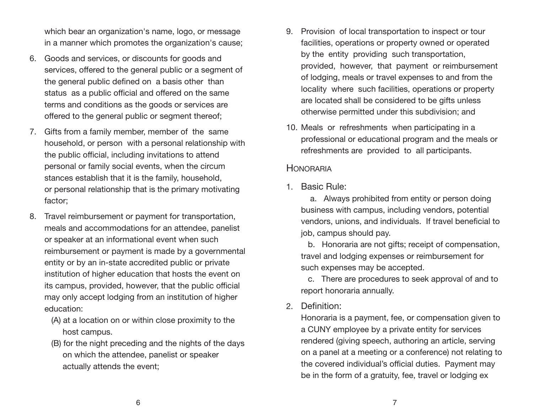which bear an organization's name, logo, or message in a manner which promotes the organization's cause;

- 6. Goods and services, or discounts for goods and services, offered to the general public or a segment of the general public defined on a basis other than status as a public official and offered on the same terms and conditions as the goods or services are offered to the general public or segment thereof;
- 7. Gifts from a family member, member of the same household, or person with a personal relationship with the public official, including invitations to attend personal or family social events, when the circum stances establish that it is the family, household, or personal relationship that is the primary motivating factor;
- 8. Travel reimbursement or payment for transportation, meals and accommodations for an attendee, panelist or speaker at an informational event when such reimbursement or payment is made by a governmental entity or by an in-state accredited public or private institution of higher education that hosts the event on its campus, provided, however, that the public official may only accept lodging from an institution of higher education:
	- (A) at a location on or within close proximity to the host campus.
	- (B) for the night preceding and the nights of the days on which the attendee, panelist or speaker actually attends the event;
- 9. Provision of local transportation to inspect or tour facilities, operations or property owned or operated by the entity providing such transportation, provided, however, that payment or reimbursement of lodging, meals or travel expenses to and from the locality where such facilities, operations or property are located shall be considered to be gifts unless otherwise permitted under this subdivision; and
- 10. Meals or refreshments when participating in a professional or educational program and the meals or refreshments are provided to all participants.

## **HONORARIA**

1. Basic Rule:

a. Always prohibited from entity or person doing business with campus, including vendors, potential vendors, unions, and individuals. If travel beneficial to job, campus should pay.

b. Honoraria are not gifts; receipt of compensation, travel and lodging expenses or reimbursement for such expenses may be accepted.

c. There are procedures to seek approval of and to report honoraria annually.

## 2. Definition:

Honoraria is a payment, fee, or compensation given to a CUNY employee by a private entity for services rendered (giving speech, authoring an article, serving on a panel at a meeting or a conference) not relating to the covered individual's official duties. Payment may be in the form of a gratuity, fee, travel or lodging ex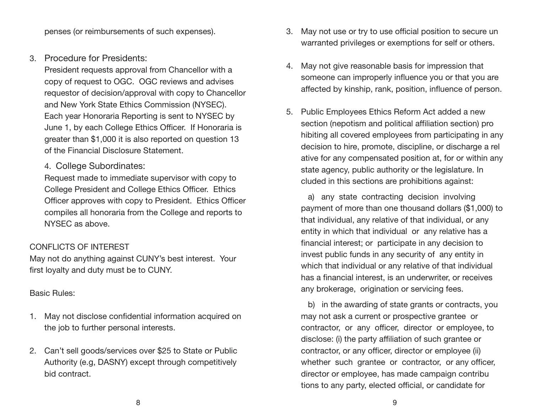penses (or reimbursements of such expenses).

3. Procedure for Presidents:

President requests approval from Chancellor with a copy of request to OGC. OGC reviews and advises requestor of decision/approval with copy to Chancellor and New York State Ethics Commission (NYSEC). Each year Honoraria Reporting is sent to NYSEC by June 1, by each College Ethics Officer. If Honoraria is greater than \$1,000 it is also reported on question 13 of the Financial Disclosure Statement.

4. College Subordinates:

Request made to immediate supervisor with copy to College President and College Ethics Officer. Ethics Officer approves with copy to President. Ethics Officer compiles all honoraria from the College and reports to NYSEC as above.

#### CONFLICTS OF INTEREST

May not do anything against CUNY's best interest. Your first loyalty and duty must be to CUNY.

#### Basic Rules:

- 1. May not disclose confidential information acquired on the job to further personal interests.
- 2. Can't sell goods/services over \$25 to State or Public Authority (e.g, DASNY) except through competitively bid contract.
- 3. May not use or try to use official position to secure un warranted privileges or exemptions for self or others.
- 4. May not give reasonable basis for impression that someone can improperly influence you or that you are affected by kinship, rank, position, influence of person.
- 5. Public Employees Ethics Reform Act added a new section (nepotism and political affiliation section) pro hibiting all covered employees from participating in any decision to hire, promote, discipline, or discharge a rel ative for any compensated position at, for or within any state agency, public authority or the legislature. In cluded in this sections are prohibitions against:

a) any state contracting decision involving payment of more than one thousand dollars (\$1,000) to that individual, any relative of that individual, or any entity in which that individual or any relative has a financial interest; or participate in any decision to invest public funds in any security of any entity in which that individual or any relative of that individual has a financial interest, is an underwriter, or receives any brokerage, origination or servicing fees.

b) in the awarding of state grants or contracts, you may not ask a current or prospective grantee or contractor, or any officer, director or employee, to disclose: (i) the party affiliation of such grantee or contractor, or any officer, director or employee (ii) whether such grantee or contractor, or any officer, director or employee, has made campaign contribu tions to any party, elected official, or candidate for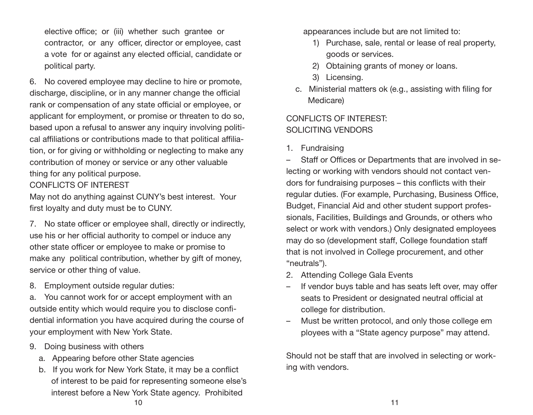elective office; or (iii) whether such grantee or contractor, or any officer, director or employee, cast a vote for or against any elected official, candidate or political party.

6. No covered employee may decline to hire or promote, discharge, discipline, or in any manner change the official rank or compensation of any state official or employee, or applicant for employment, or promise or threaten to do so, based upon a refusal to answer any inquiry involving political affiliations or contributions made to that political affiliation, or for giving or withholding or neglecting to make any contribution of money or service or any other valuable thing for any political purpose.

## CONFLICTS OF INTEREST

May not do anything against CUNY's best interest. Your first loyalty and duty must be to CUNY.

7. No state officer or employee shall, directly or indirectly, use his or her official authority to compel or induce any other state officer or employee to make or promise to make any political contribution, whether by gift of money, service or other thing of value.

8. Employment outside regular duties:

a. You cannot work for or accept employment with an outside entity which would require you to disclose confidential information you have acquired during the course of your employment with New York State.

- 9. Doing business with others
	- a. Appearing before other State agencies
	- b. If you work for New York State, it may be a conflict of interest to be paid for representing someone else's interest before a New York State agency. Prohibited

appearances include but are not limited to:

- 1) Purchase, sale, rental or lease of real property, goods or services.
- 2) Obtaining grants of money or loans.
- 3) Licensing.
- c. Ministerial matters ok (e.g., assisting with filing for Medicare)

# CONFLICTS OF INTEREST: SOLICITING VENDORS

1. Fundraising

– Staff or Offices or Departments that are involved in selecting or working with vendors should not contact vendors for fundraising purposes – this conflicts with their regular duties. (For example, Purchasing, Business Office, Budget, Financial Aid and other student support professionals, Facilities, Buildings and Grounds, or others who select or work with vendors.) Only designated employees may do so (development staff, College foundation staff that is not involved in College procurement, and other "neutrals").

- 2. Attending College Gala Events
- If vendor buys table and has seats left over, may offer seats to President or designated neutral official at college for distribution.
- Must be written protocol, and only those college em ployees with a "State agency purpose" may attend.

Should not be staff that are involved in selecting or working with vendors.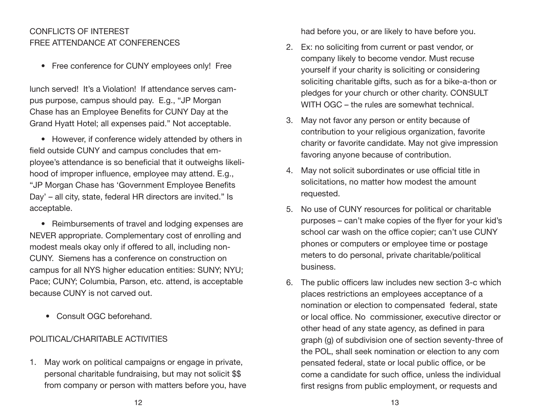## CONFLICTS OF INTEREST FREE ATTENDANCE AT CONFERENCES

• Free conference for CUNY employees only! Free

lunch served! It's a Violation! If attendance serves campus purpose, campus should pay. E.g., "JP Morgan Chase has an Employee Benefits for CUNY Day at the Grand Hyatt Hotel; all expenses paid." Not acceptable.

• However, if conference widely attended by others in field outside CUNY and campus concludes that employee's attendance is so beneficial that it outweighs likelihood of improper influence, employee may attend. E.g., "JP Morgan Chase has 'Government Employee Benefits Day' – all city, state, federal HR directors are invited." Is acceptable.

• Reimbursements of travel and lodging expenses are NEVER appropriate. Complementary cost of enrolling and modest meals okay only if offered to all, including non-CUNY. Siemens has a conference on construction on campus for all NYS higher education entities: SUNY; NYU; Pace; CUNY; Columbia, Parson, etc. attend, is acceptable because CUNY is not carved out.

• Consult OGC beforehand.

#### POLITICAL/CHARITABLE ACTIVITIES

1. May work on political campaigns or engage in private, personal charitable fundraising, but may not solicit \$\$ from company or person with matters before you, have had before you, or are likely to have before you.

- 2. Ex: no soliciting from current or past vendor, or company likely to become vendor. Must recuse yourself if your charity is soliciting or considering soliciting charitable gifts, such as for a bike-a-thon or pledges for your church or other charity. CONSULT WITH OGC – the rules are somewhat technical.
- 3. May not favor any person or entity because of contribution to your religious organization, favorite charity or favorite candidate. May not give impression favoring anyone because of contribution.
- 4. May not solicit subordinates or use official title in solicitations, no matter how modest the amount requested.
- 5. No use of CUNY resources for political or charitable purposes – can't make copies of the flyer for your kid's school car wash on the office copier; can't use CUNY phones or computers or employee time or postage meters to do personal, private charitable/political business.
- 6. The public officers law includes new section 3-c which places restrictions an employees acceptance of a nomination or election to compensated federal, state or local office. No commissioner, executive director or other head of any state agency, as defined in para graph (g) of subdivision one of section seventy-three of the POL, shall seek nomination or election to any com pensated federal, state or local public office, or be come a candidate for such office, unless the individual first resigns from public employment, or requests and